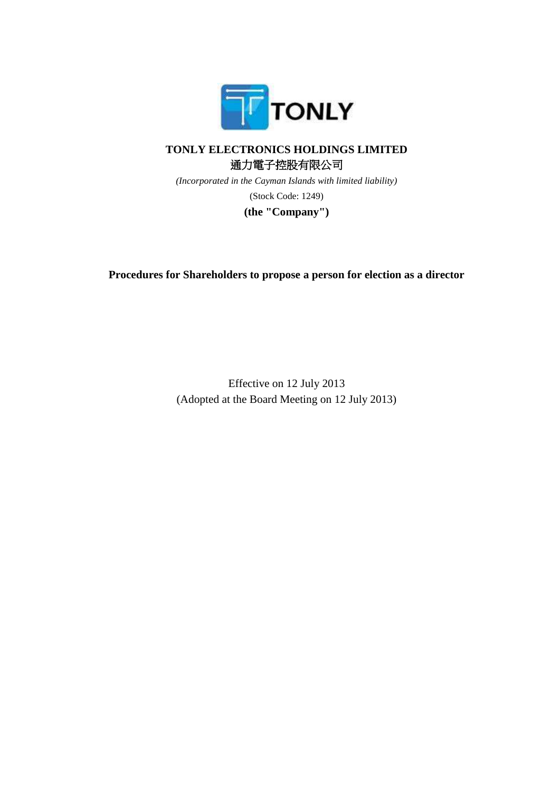

## **TONLY ELECTRONICS HOLDINGS LIMITED** 通力電子控股有限公司

*(Incorporated in the Cayman Islands with limited liability)* (Stock Code: 1249)

**(the "Company")**

**Procedures for Shareholders to propose a person for election as a director**

Effective on 12 July 2013 (Adopted at the Board Meeting on 12 July 2013)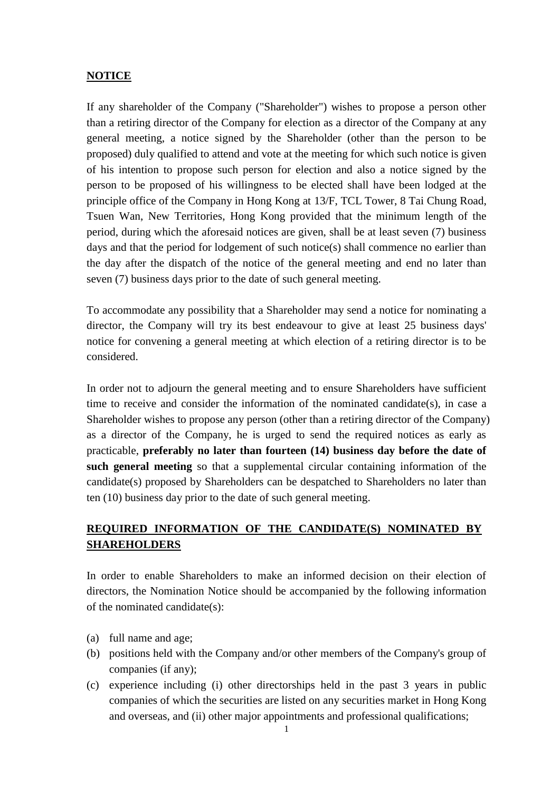## **NOTICE**

If any shareholder of the Company ("Shareholder") wishes to propose a person other than a retiring director of the Company for election as a director of the Company at any general meeting, a notice signed by the Shareholder (other than the person to be proposed) duly qualified to attend and vote at the meeting for which such notice is given of his intention to propose such person for election and also a notice signed by the person to be proposed of his willingness to be elected shall have been lodged at the principle office of the Company in Hong Kong at 13/F, TCL Tower, 8 Tai Chung Road, Tsuen Wan, New Territories, Hong Kong provided that the minimum length of the period, during which the aforesaid notices are given, shall be at least seven (7) business days and that the period for lodgement of such notice(s) shall commence no earlier than the day after the dispatch of the notice of the general meeting and end no later than seven (7) business days prior to the date of such general meeting.

To accommodate any possibility that a Shareholder may send a notice for nominating a director, the Company will try its best endeavour to give at least 25 business days' notice for convening a general meeting at which election of a retiring director is to be considered.

In order not to adjourn the general meeting and to ensure Shareholders have sufficient time to receive and consider the information of the nominated candidate(s), in case a Shareholder wishes to propose any person (other than a retiring director of the Company) as a director of the Company, he is urged to send the required notices as early as practicable, **preferably no later than fourteen (14) business day before the date of such general meeting** so that a supplemental circular containing information of the candidate(s) proposed by Shareholders can be despatched to Shareholders no later than ten (10) business day prior to the date of such general meeting.

## **REQUIRED INFORMATION OF THE CANDIDATE(S) NOMINATED BY SHAREHOLDERS**

In order to enable Shareholders to make an informed decision on their election of directors, the Nomination Notice should be accompanied by the following information of the nominated candidate(s):

- (a) full name and age;
- (b) positions held with the Company and/or other members of the Company's group of companies (if any);
- (c) experience including (i) other directorships held in the past 3 years in public companies of which the securities are listed on any securities market in Hong Kong and overseas, and (ii) other major appointments and professional qualifications;